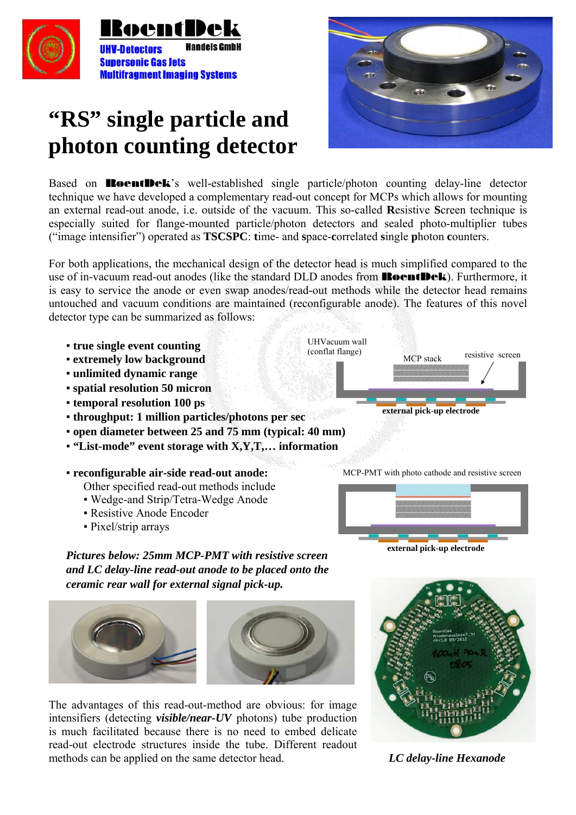

## **"RS" single particle and photon counting detector**



Based on **RoentDek**'s well-established single particle/photon counting delay-line detector technique we have developed a complementary read-out concept for MCPs which allows for mounting an external read-out anode, i.e. outside of the vacuum. This so-called **R**esistive **S**creen technique is especially suited for flange-mounted particle/photon detectors and sealed photo-multiplier tubes ("image intensifier") operated as **TSCSPC**: **t**ime- and **s**pace-**c**orrelated **s**ingle **p**hoton **c**ounters.

For both applications, the mechanical design of the detector head is much simplified compared to the use of in-vacuum read-out anodes (like the standard DLD anodes from **RoentDek**). Furthermore, it is easy to service the anode or even swap anodes/read-out methods while the detector head remains untouched and vacuum conditions are maintained (reconfigurable anode). The features of this novel detector type can be summarized as follows:

- **true single event counting**
- **extremely low background**
- **unlimited dynamic range**
- **spatial resolution 50 micron**
- **temporal resolution 100 ps**
- **throughput: 1 million particles/photons per sec**
- **open diameter between 25 and 75 mm (typical: 40 mm)**
- **"List-mode" event storage with X,Y,T,… information**
- **reconfigurable air-side read-out anode:**
	- Other specified read-out methods include
	- Wedge-and Strip/Tetra-Wedge Anode
	- **Resistive Anode Encoder**
	- Pixel/strip arrays

 MCP stack UHVacuum wall (conflat flange) resistive screen **external pick-up electrode** 

MCP-PMT with photo cathode and resistive screen



**external pick-up electrode** 

*Pictures below: 25mm MCP-PMT with resistive screen and LC delay-line read-out anode to be placed onto the ceramic rear wall for external signal pick-up.* 





The advantages of this read-out-method are obvious: for image intensifiers (detecting *visible/near-UV* photons) tube production is much facilitated because there is no need to embed delicate read-out electrode structures inside the tube. Different readout methods can be applied on the same detector head. *LC delay-line Hexanode*